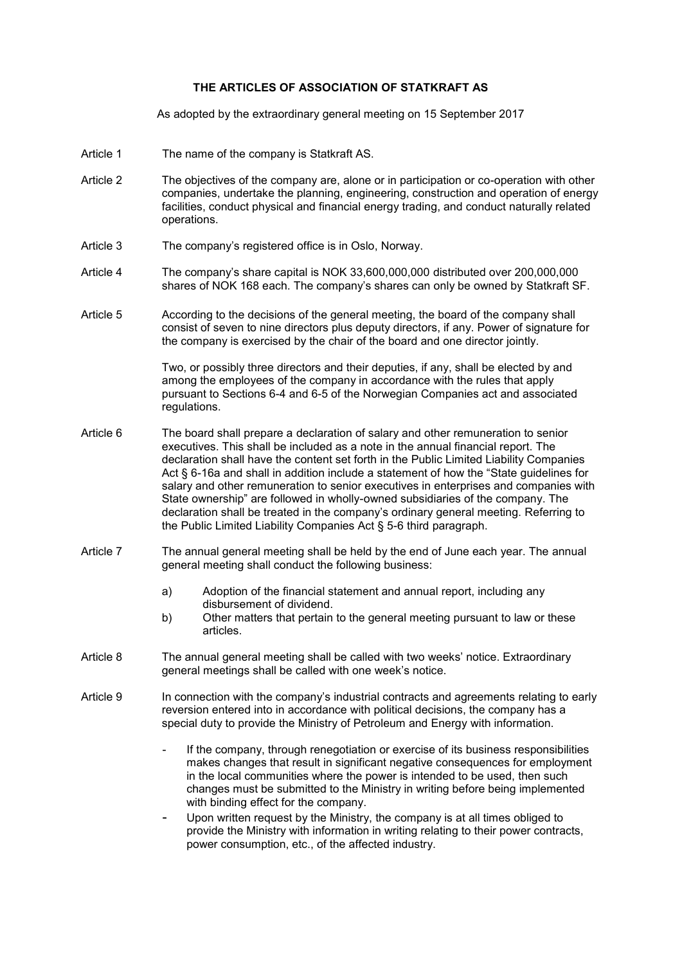## **THE ARTICLES OF ASSOCIATION OF STATKRAFT AS**

As adopted by the extraordinary general meeting on 15 September 2017

- Article 1 The name of the company is Statkraft AS.
- Article 2 The objectives of the company are, alone or in participation or co-operation with other companies, undertake the planning, engineering, construction and operation of energy facilities, conduct physical and financial energy trading, and conduct naturally related operations.
- Article 3 The company's registered office is in Oslo, Norway.
- Article 4 The company's share capital is NOK 33,600,000,000 distributed over 200,000,000 shares of NOK 168 each. The company's shares can only be owned by Statkraft SF.
- Article 5 According to the decisions of the general meeting, the board of the company shall consist of seven to nine directors plus deputy directors, if any. Power of signature for the company is exercised by the chair of the board and one director jointly.

Two, or possibly three directors and their deputies, if any, shall be elected by and among the employees of the company in accordance with the rules that apply pursuant to Sections 6-4 and 6-5 of the Norwegian Companies act and associated regulations.

- Article 6 The board shall prepare a declaration of salary and other remuneration to senior executives. This shall be included as a note in the annual financial report. The declaration shall have the content set forth in the Public Limited Liability Companies Act § 6-16a and shall in addition include a statement of how the "State guidelines for salary and other remuneration to senior executives in enterprises and companies with State ownership" are followed in wholly-owned subsidiaries of the company. The declaration shall be treated in the company's ordinary general meeting. Referring to the Public Limited Liability Companies Act § 5-6 third paragraph.
- Article 7 The annual general meeting shall be held by the end of June each year. The annual general meeting shall conduct the following business:
	- a) Adoption of the financial statement and annual report, including any disbursement of dividend.
	- b) Other matters that pertain to the general meeting pursuant to law or these articles.
- Article 8 The annual general meeting shall be called with two weeks' notice. Extraordinary general meetings shall be called with one week's notice.
- Article 9 In connection with the company's industrial contracts and agreements relating to early reversion entered into in accordance with political decisions, the company has a special duty to provide the Ministry of Petroleum and Energy with information.
	- If the company, through renegotiation or exercise of its business responsibilities makes changes that result in significant negative consequences for employment in the local communities where the power is intended to be used, then such changes must be submitted to the Ministry in writing before being implemented with binding effect for the company.
	- Upon written request by the Ministry, the company is at all times obliged to provide the Ministry with information in writing relating to their power contracts, power consumption, etc., of the affected industry.